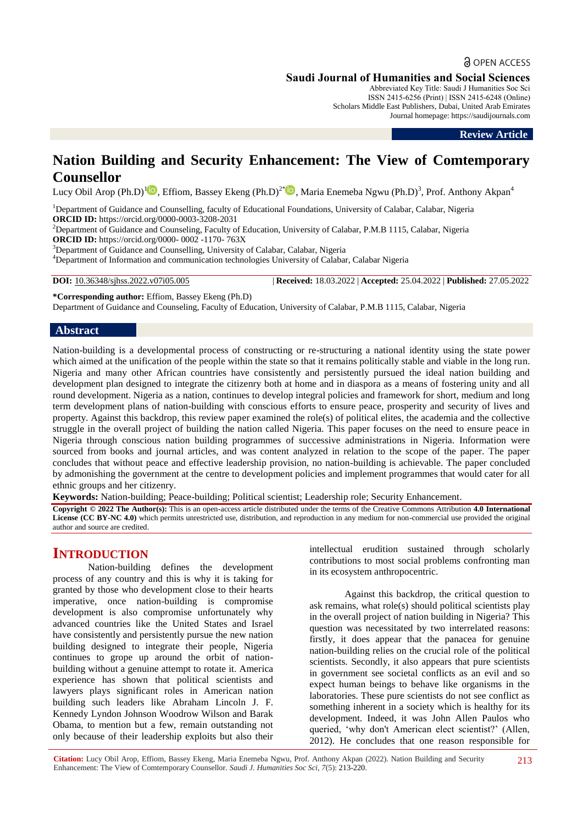**Saudi Journal of Humanities and Social Sciences**

Abbreviated Key Title: Saudi J Humanities Soc Sci ISSN 2415-6256 (Print) | ISSN 2415-6248 (Online) Scholars Middle East Publishers, Dubai, United Arab Emirates Journal homepage: https://saudijournals.com

**Review Article**

# **Nation Building and Security Enhancement: The View of Comtemporary Counsellor**

Lucy Obil Arop (Ph.D)<sup>[1](https://orcid.org/0000-0003-3208-2031)</sup><sup>1</sup>. Effiom, Bassey Ekeng (Ph.D)<sup>2\*</sup><sup>1</sup>, Maria Enemeba Ngwu (Ph.D)<sup>3</sup>, Prof. Anthony Akpan<sup>4</sup>

<sup>1</sup>Department of Guidance and Counselling, faculty of Educational Foundations, University of Calabar, Calabar, Nigeria **ORCID ID:** https://orcid.org/0000-0003-3208-2031

<sup>2</sup>Department of Guidance and Counseling, Faculty of Education, University of Calabar, P.M.B 1115, Calabar, Nigeria **ORCID ID:** https://orcid.org/0000- 0002 -1170- 763X

<sup>3</sup>Department of Guidance and Counselling, University of Calabar, Calabar, Nigeria

<sup>4</sup>Department of Information and communication technologies University of Calabar, Calabar Nigeria

**DOI:** 10.36348/sjhss.2022.v07i05.005 | **Received:** 18.03.2022 | **Accepted:** 25.04.2022 | **Published:** 27.05.2022

**\*Corresponding author:** Effiom, Bassey Ekeng (Ph.D)

Department of Guidance and Counseling, Faculty of Education, University of Calabar, P.M.B 1115, Calabar, Nigeria

## **Abstract**

Nation-building is a developmental process of constructing or re-structuring a national identity using the state power which aimed at the unification of the people within the state so that it remains politically stable and viable in the long run. Nigeria and many other African countries have consistently and persistently pursued the ideal nation building and development plan designed to integrate the citizenry both at home and in diaspora as a means of fostering unity and all round development. Nigeria as a nation, continues to develop integral policies and framework for short, medium and long term development plans of nation-building with conscious efforts to ensure peace, prosperity and security of lives and property. Against this backdrop, this review paper examined the role(s) of political elites, the academia and the collective struggle in the overall project of building the nation called Nigeria. This paper focuses on the need to ensure peace in Nigeria through conscious nation building programmes of successive administrations in Nigeria. Information were sourced from books and journal articles, and was content analyzed in relation to the scope of the paper. The paper concludes that without peace and effective leadership provision, no nation-building is achievable. The paper concluded by admonishing the government at the centre to development policies and implement programmes that would cater for all ethnic groups and her citizenry.

**Keywords:** Nation-building; Peace-building; Political scientist; Leadership role; Security Enhancement.

**Copyright © 2022 The Author(s):** This is an open-access article distributed under the terms of the Creative Commons Attribution **4.0 International License (CC BY-NC 4.0)** which permits unrestricted use, distribution, and reproduction in any medium for non-commercial use provided the original author and source are credited.

# **INTRODUCTION**

Nation-building defines the development process of any country and this is why it is taking for granted by those who development close to their hearts imperative, once nation-building is compromise development is also compromise unfortunately why advanced countries like the United States and Israel have consistently and persistently pursue the new nation building designed to integrate their people, Nigeria continues to grope up around the orbit of nationbuilding without a genuine attempt to rotate it. America experience has shown that political scientists and lawyers plays significant roles in American nation building such leaders like Abraham Lincoln J. F. Kennedy Lyndon Johnson Woodrow Wilson and Barak Obama, to mention but a few, remain outstanding not only because of their leadership exploits but also their

intellectual erudition sustained through scholarly contributions to most social problems confronting man in its ecosystem anthropocentric.

Against this backdrop, the critical question to ask remains, what role(s) should political scientists play in the overall project of nation building in Nigeria? This question was necessitated by two interrelated reasons: firstly, it does appear that the panacea for genuine nation-building relies on the crucial role of the political scientists. Secondly, it also appears that pure scientists in government see societal conflicts as an evil and so expect human beings to behave like organisms in the laboratories. These pure scientists do not see conflict as something inherent in a society which is healthy for its development. Indeed, it was John Allen Paulos who queried, "why don't American elect scientist?" (Allen, 2012). He concludes that one reason responsible for

**Citation:** Lucy Obil Arop, Effiom, Bassey Ekeng, Maria Enemeba Ngwu, Prof. Anthony Akpan (2022). Nation Building and Security Enhancement: The View of Comtemporary Counsellor. *Saudi J. Humanities Soc Sci, 7*(5): 213-220.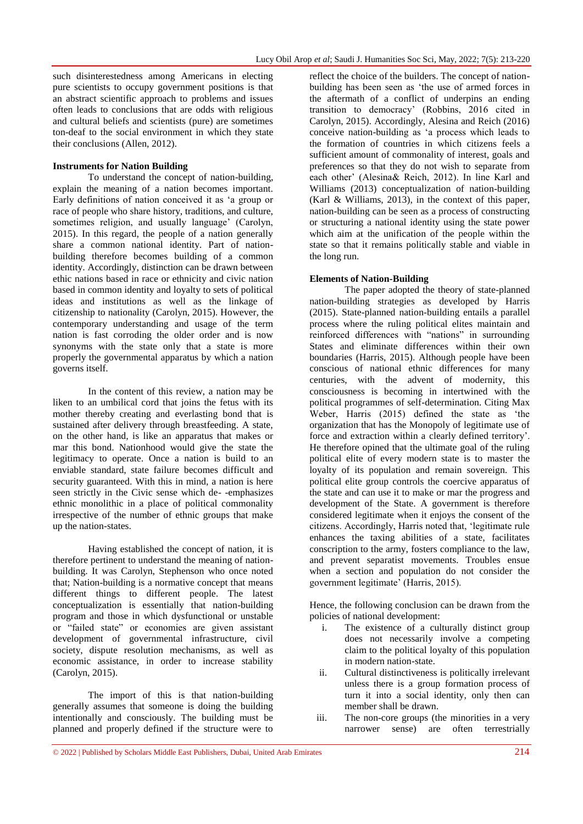such disinterestedness among Americans in electing pure scientists to occupy government positions is that an abstract scientific approach to problems and issues often leads to conclusions that are odds with religious and cultural beliefs and scientists (pure) are sometimes ton-deaf to the social environment in which they state their conclusions (Allen, 2012).

#### **Instruments for Nation Building**

To understand the concept of nation-building, explain the meaning of a nation becomes important. Early definitions of nation conceived it as "a group or race of people who share history, traditions, and culture, sometimes religion, and usually language' (Carolyn, 2015). In this regard, the people of a nation generally share a common national identity. Part of nationbuilding therefore becomes building of a common identity. Accordingly, distinction can be drawn between ethic nations based in race or ethnicity and civic nation based in common identity and loyalty to sets of political ideas and institutions as well as the linkage of citizenship to nationality (Carolyn, 2015). However, the contemporary understanding and usage of the term nation is fast corroding the older order and is now synonyms with the state only that a state is more properly the governmental apparatus by which a nation governs itself.

In the content of this review, a nation may be liken to an umbilical cord that joins the fetus with its mother thereby creating and everlasting bond that is sustained after delivery through breastfeeding. A state, on the other hand, is like an apparatus that makes or mar this bond. Nationhood would give the state the legitimacy to operate. Once a nation is build to an enviable standard, state failure becomes difficult and security guaranteed. With this in mind, a nation is here seen strictly in the Civic sense which de- -emphasizes ethnic monolithic in a place of political commonality irrespective of the number of ethnic groups that make up the nation-states.

Having established the concept of nation, it is therefore pertinent to understand the meaning of nationbuilding. It was Carolyn, Stephenson who once noted that; Nation-building is a normative concept that means different things to different people. The latest conceptualization is essentially that nation-building program and those in which dysfunctional or unstable or "failed state" or economies are given assistant development of governmental infrastructure, civil society, dispute resolution mechanisms, as well as economic assistance, in order to increase stability (Carolyn, 2015).

The import of this is that nation-building generally assumes that someone is doing the building intentionally and consciously. The building must be planned and properly defined if the structure were to

reflect the choice of the builders. The concept of nationbuilding has been seen as "the use of armed forces in the aftermath of a conflict of underpins an ending transition to democracy" (Robbins, 2016 cited in Carolyn, 2015). Accordingly, Alesina and Reich (2016) conceive nation-building as "a process which leads to the formation of countries in which citizens feels a sufficient amount of commonality of interest, goals and preferences so that they do not wish to separate from each other" (Alesina& Reich, 2012). In line Karl and Williams (2013) conceptualization of nation-building (Karl & Williams, 2013), in the context of this paper, nation-building can be seen as a process of constructing or structuring a national identity using the state power which aim at the unification of the people within the state so that it remains politically stable and viable in the long run.

#### **Elements of Nation-Building**

The paper adopted the theory of state-planned nation-building strategies as developed by Harris (2015). State-planned nation-building entails a parallel process where the ruling political elites maintain and reinforced differences with "nations" in surrounding States and eliminate differences within their own boundaries (Harris, 2015). Although people have been conscious of national ethnic differences for many centuries, with the advent of modernity, this consciousness is becoming in intertwined with the political programmes of self-determination. Citing Max Weber, Harris (2015) defined the state as "the organization that has the Monopoly of legitimate use of force and extraction within a clearly defined territory". He therefore opined that the ultimate goal of the ruling political elite of every modern state is to master the loyalty of its population and remain sovereign. This political elite group controls the coercive apparatus of the state and can use it to make or mar the progress and development of the State. A government is therefore considered legitimate when it enjoys the consent of the citizens. Accordingly, Harris noted that, "legitimate rule enhances the taxing abilities of a state, facilitates conscription to the army, fosters compliance to the law, and prevent separatist movements. Troubles ensue when a section and population do not consider the government legitimate" (Harris, 2015).

Hence, the following conclusion can be drawn from the policies of national development:

- i. The existence of a culturally distinct group does not necessarily involve a competing claim to the political loyalty of this population in modern nation-state.
- ii. Cultural distinctiveness is politically irrelevant unless there is a group formation process of turn it into a social identity, only then can member shall be drawn.
- iii. The non-core groups (the minorities in a very narrower sense) are often terrestrially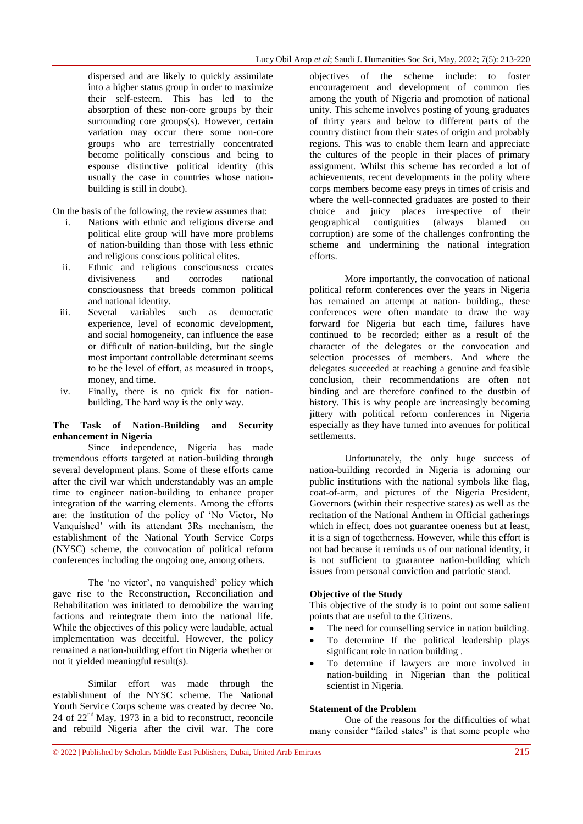dispersed and are likely to quickly assimilate into a higher status group in order to maximize their self-esteem. This has led to the absorption of these non-core groups by their surrounding core groups(s). However, certain variation may occur there some non-core groups who are terrestrially concentrated become politically conscious and being to espouse distinctive political identity (this usually the case in countries whose nationbuilding is still in doubt).

On the basis of the following, the review assumes that:

- i. Nations with ethnic and religious diverse and political elite group will have more problems of nation-building than those with less ethnic and religious conscious political elites.
- ii. Ethnic and religious consciousness creates divisiveness and corrodes national consciousness that breeds common political and national identity.
- iii. Several variables such as democratic experience, level of economic development, and social homogeneity, can influence the ease or difficult of nation-building, but the single most important controllable determinant seems to be the level of effort, as measured in troops, money, and time.
- iv. Finally, there is no quick fix for nationbuilding. The hard way is the only way.

## **The Task of Nation-Building and Security enhancement in Nigeria**

Since independence, Nigeria has made tremendous efforts targeted at nation-building through several development plans. Some of these efforts came after the civil war which understandably was an ample time to engineer nation-building to enhance proper integration of the warring elements. Among the efforts are: the institution of the policy of "No Victor, No Vanquished" with its attendant 3Rs mechanism, the establishment of the National Youth Service Corps (NYSC) scheme, the convocation of political reform conferences including the ongoing one, among others.

The 'no victor', no vanquished' policy which gave rise to the Reconstruction, Reconciliation and Rehabilitation was initiated to demobilize the warring factions and reintegrate them into the national life. While the objectives of this policy were laudable, actual implementation was deceitful. However, the policy remained a nation-building effort tin Nigeria whether or not it yielded meaningful result(s).

Similar effort was made through the establishment of the NYSC scheme. The National Youth Service Corps scheme was created by decree No. 24 of  $22<sup>nd</sup>$  May, 1973 in a bid to reconstruct, reconcile and rebuild Nigeria after the civil war. The core objectives of the scheme include: to foster encouragement and development of common ties among the youth of Nigeria and promotion of national unity. This scheme involves posting of young graduates of thirty years and below to different parts of the country distinct from their states of origin and probably regions. This was to enable them learn and appreciate the cultures of the people in their places of primary assignment. Whilst this scheme has recorded a lot of achievements, recent developments in the polity where corps members become easy preys in times of crisis and where the well-connected graduates are posted to their choice and juicy places irrespective of their geographical contiguities (always blamed on corruption) are some of the challenges confronting the scheme and undermining the national integration efforts.

More importantly, the convocation of national political reform conferences over the years in Nigeria has remained an attempt at nation- building., these conferences were often mandate to draw the way forward for Nigeria but each time, failures have continued to be recorded; either as a result of the character of the delegates or the convocation and selection processes of members. And where the delegates succeeded at reaching a genuine and feasible conclusion, their recommendations are often not binding and are therefore confined to the dustbin of history. This is why people are increasingly becoming iittery with political reform conferences in Nigeria especially as they have turned into avenues for political settlements.

Unfortunately, the only huge success of nation-building recorded in Nigeria is adorning our public institutions with the national symbols like flag, coat-of-arm, and pictures of the Nigeria President, Governors (within their respective states) as well as the recitation of the National Anthem in Official gatherings which in effect, does not guarantee oneness but at least, it is a sign of togetherness. However, while this effort is not bad because it reminds us of our national identity, it is not sufficient to guarantee nation-building which issues from personal conviction and patriotic stand.

## **Objective of the Study**

This objective of the study is to point out some salient points that are useful to the Citizens.

- The need for counselling service in nation building.
- To determine If the political leadership plays significant role in nation building .
- To determine if lawyers are more involved in nation-building in Nigerian than the political scientist in Nigeria.

## **Statement of the Problem**

One of the reasons for the difficulties of what many consider "failed states" is that some people who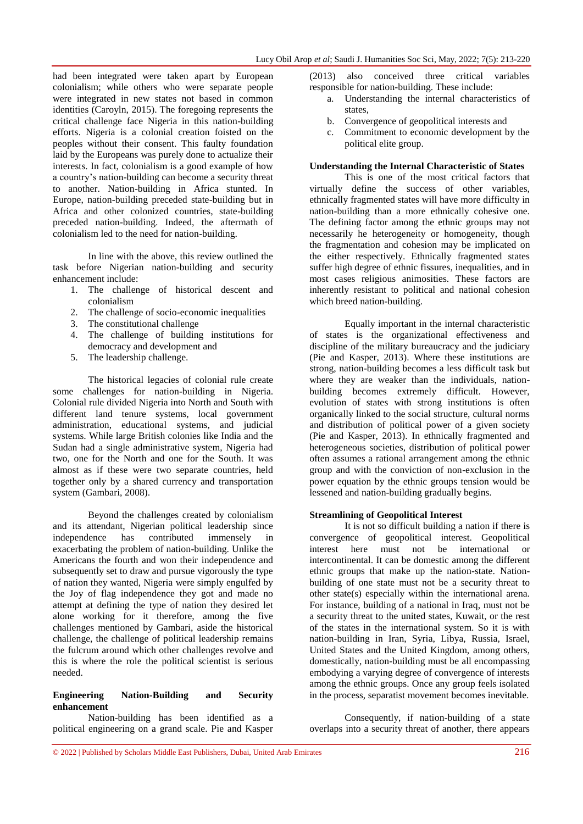had been integrated were taken apart by European colonialism; while others who were separate people were integrated in new states not based in common identities (Caroyln, 2015). The foregoing represents the critical challenge face Nigeria in this nation-building efforts. Nigeria is a colonial creation foisted on the peoples without their consent. This faulty foundation laid by the Europeans was purely done to actualize their interests. In fact, colonialism is a good example of how a country"s nation-building can become a security threat to another. Nation-building in Africa stunted. In Europe, nation-building preceded state-building but in Africa and other colonized countries, state-building preceded nation-building. Indeed, the aftermath of colonialism led to the need for nation-building.

In line with the above, this review outlined the task before Nigerian nation-building and security enhancement include:

- 1. The challenge of historical descent and colonialism
- 2. The challenge of socio-economic inequalities
- 3. The constitutional challenge
- 4. The challenge of building institutions for democracy and development and
- 5. The leadership challenge.

The historical legacies of colonial rule create some challenges for nation-building in Nigeria. Colonial rule divided Nigeria into North and South with different land tenure systems, local government administration, educational systems, and judicial systems. While large British colonies like India and the Sudan had a single administrative system, Nigeria had two, one for the North and one for the South. It was almost as if these were two separate countries, held together only by a shared currency and transportation system (Gambari, 2008).

Beyond the challenges created by colonialism and its attendant, Nigerian political leadership since independence has contributed immensely in exacerbating the problem of nation-building. Unlike the Americans the fourth and won their independence and subsequently set to draw and pursue vigorously the type of nation they wanted, Nigeria were simply engulfed by the Joy of flag independence they got and made no attempt at defining the type of nation they desired let alone working for it therefore, among the five challenges mentioned by Gambari, aside the historical challenge, the challenge of political leadership remains the fulcrum around which other challenges revolve and this is where the role the political scientist is serious needed.

## **Engineering Nation-Building and Security enhancement**

Nation-building has been identified as a political engineering on a grand scale. Pie and Kasper (2013) also conceived three critical variables responsible for nation-building. These include:

- a. Understanding the internal characteristics of states,
- b. Convergence of geopolitical interests and
- c. Commitment to economic development by the political elite group.

## **Understanding the Internal Characteristic of States**

This is one of the most critical factors that virtually define the success of other variables, ethnically fragmented states will have more difficulty in nation-building than a more ethnically cohesive one. The defining factor among the ethnic groups may not necessarily he heterogeneity or homogeneity, though the fragmentation and cohesion may be implicated on the either respectively. Ethnically fragmented states suffer high degree of ethnic fissures, inequalities, and in most cases religious animosities. These factors are inherently resistant to political and national cohesion which breed nation-building.

Equally important in the internal characteristic of states is the organizational effectiveness and discipline of the military bureaucracy and the judiciary (Pie and Kasper, 2013). Where these institutions are strong, nation-building becomes a less difficult task but where they are weaker than the individuals, nationbuilding becomes extremely difficult. However, evolution of states with strong institutions is often organically linked to the social structure, cultural norms and distribution of political power of a given society (Pie and Kasper, 2013). In ethnically fragmented and heterogeneous societies, distribution of political power often assumes a rational arrangement among the ethnic group and with the conviction of non-exclusion in the power equation by the ethnic groups tension would be lessened and nation-building gradually begins.

## **Streamlining of Geopolitical Interest**

It is not so difficult building a nation if there is convergence of geopolitical interest. Geopolitical interest here must not be international or intercontinental. It can be domestic among the different ethnic groups that make up the nation-state. Nationbuilding of one state must not be a security threat to other state(s) especially within the international arena. For instance, building of a national in Iraq, must not be a security threat to the united states, Kuwait, or the rest of the states in the international system. So it is with nation-building in Iran, Syria, Libya, Russia, Israel, United States and the United Kingdom, among others, domestically, nation-building must be all encompassing embodying a varying degree of convergence of interests among the ethnic groups. Once any group feels isolated in the process, separatist movement becomes inevitable.

Consequently, if nation-building of a state overlaps into a security threat of another, there appears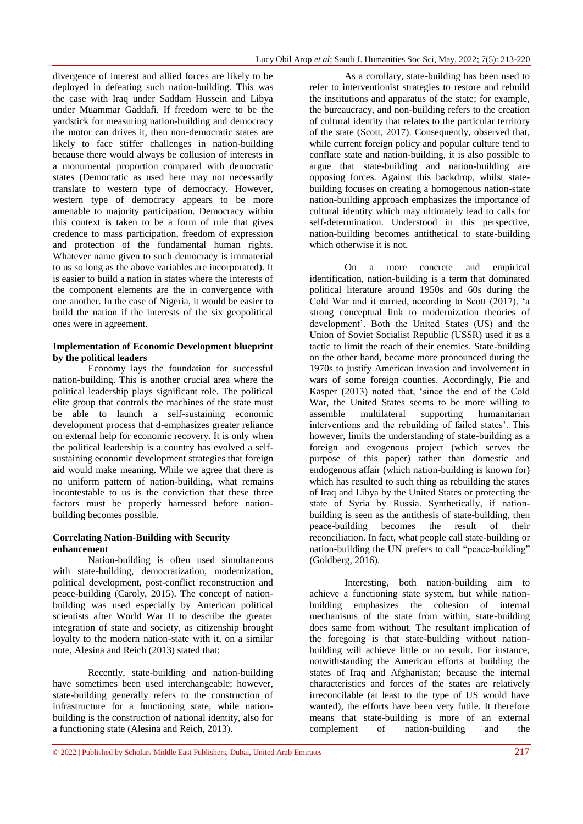divergence of interest and allied forces are likely to be deployed in defeating such nation-building. This was the case with Iraq under Saddam Hussein and Libya under Muammar Gaddafi. If freedom were to be the yardstick for measuring nation-building and democracy the motor can drives it, then non-democratic states are likely to face stiffer challenges in nation-building because there would always be collusion of interests in a monumental proportion compared with democratic states (Democratic as used here may not necessarily translate to western type of democracy. However, western type of democracy appears to be more amenable to majority participation. Democracy within this context is taken to be a form of rule that gives credence to mass participation, freedom of expression and protection of the fundamental human rights. Whatever name given to such democracy is immaterial to us so long as the above variables are incorporated). It is easier to build a nation in states where the interests of the component elements are the in convergence with one another. In the case of Nigeria, it would be easier to build the nation if the interests of the six geopolitical ones were in agreement.

#### **Implementation of Economic Development blueprint by the political leaders**

Economy lays the foundation for successful nation-building. This is another crucial area where the political leadership plays significant role. The political elite group that controls the machines of the state must be able to launch a self-sustaining economic development process that d-emphasizes greater reliance on external help for economic recovery. It is only when the political leadership is a country has evolved a selfsustaining economic development strategies that foreign aid would make meaning. While we agree that there is no uniform pattern of nation-building, what remains incontestable to us is the conviction that these three factors must be properly harnessed before nationbuilding becomes possible.

## **Correlating Nation-Building with Security enhancement**

Nation-building is often used simultaneous with state-building, democratization, modernization, political development, post-conflict reconstruction and peace-building (Caroly, 2015). The concept of nationbuilding was used especially by American political scientists after World War II to describe the greater integration of state and society, as citizenship brought loyalty to the modern nation-state with it, on a similar note, Alesina and Reich (2013) stated that:

Recently, state-building and nation-building have sometimes been used interchangeable; however, state-building generally refers to the construction of infrastructure for a functioning state, while nationbuilding is the construction of national identity, also for a functioning state (Alesina and Reich, 2013).

As a corollary, state-building has been used to refer to interventionist strategies to restore and rebuild the institutions and apparatus of the state; for example, the bureaucracy, and non-building refers to the creation of cultural identity that relates to the particular territory of the state (Scott, 2017). Consequently, observed that, while current foreign policy and popular culture tend to conflate state and nation-building, it is also possible to argue that state-building and nation-building are opposing forces. Against this backdrop, whilst statebuilding focuses on creating a homogenous nation-state nation-building approach emphasizes the importance of cultural identity which may ultimately lead to calls for self-determination. Understood in this perspective, nation-building becomes antithetical to state-building which otherwise it is not.

On a more concrete and empirical identification, nation-building is a term that dominated political literature around 1950s and 60s during the Cold War and it carried, according to Scott (2017), "a strong conceptual link to modernization theories of development". Both the United States (US) and the Union of Soviet Socialist Republic (USSR) used it as a tactic to limit the reach of their enemies. State-building on the other hand, became more pronounced during the 1970s to justify American invasion and involvement in wars of some foreign counties. Accordingly, Pie and Kasper (2013) noted that, "since the end of the Cold War, the United States seems to be more willing to assemble multilateral supporting humanitarian interventions and the rebuilding of failed states'. This however, limits the understanding of state-building as a foreign and exogenous project (which serves the purpose of this paper) rather than domestic and endogenous affair (which nation-building is known for) which has resulted to such thing as rebuilding the states of Iraq and Libya by the United States or protecting the state of Syria by Russia. Synthetically, if nationbuilding is seen as the antithesis of state-building, then peace-building becomes the result of their reconciliation. In fact, what people call state-building or nation-building the UN prefers to call "peace-building" (Goldberg, 2016).

Interesting, both nation-building aim to achieve a functioning state system, but while nationbuilding emphasizes the cohesion of internal mechanisms of the state from within, state-building does same from without. The resultant implication of the foregoing is that state-building without nationbuilding will achieve little or no result. For instance, notwithstanding the American efforts at building the states of Iraq and Afghanistan; because the internal characteristics and forces of the states are relatively irreconcilable (at least to the type of US would have wanted), the efforts have been very futile. It therefore means that state-building is more of an external complement of nation-building and the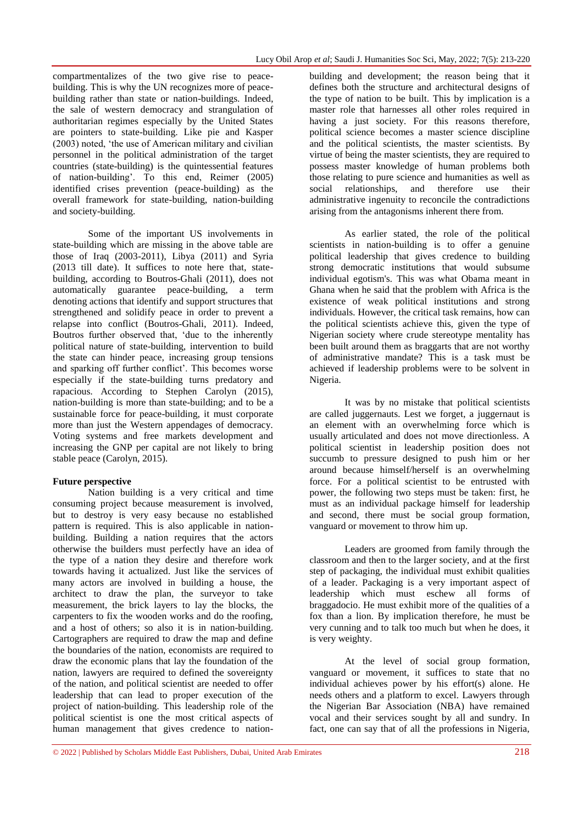compartmentalizes of the two give rise to peacebuilding. This is why the UN recognizes more of peacebuilding rather than state or nation-buildings. Indeed, the sale of western democracy and strangulation of authoritarian regimes especially by the United States are pointers to state-building. Like pie and Kasper (2003) noted, "the use of American military and civilian personnel in the political administration of the target countries (state-building) is the quintessential features of nation-building". To this end, Reimer (2005) identified crises prevention (peace-building) as the overall framework for state-building, nation-building and society-building.

Some of the important US involvements in state-building which are missing in the above table are those of Iraq (2003-2011), Libya (2011) and Syria (2013 till date). It suffices to note here that, statebuilding, according to Boutros-Ghali (2011), does not automatically guarantee peace-building, a term denoting actions that identify and support structures that strengthened and solidify peace in order to prevent a relapse into conflict (Boutros-Ghali, 2011). Indeed, Boutros further observed that, "due to the inherently political nature of state-building, intervention to build the state can hinder peace, increasing group tensions and sparking off further conflict'. This becomes worse especially if the state-building turns predatory and rapacious. According to Stephen Carolyn (2015), nation-building is more than state-building; and to be a sustainable force for peace-building, it must corporate more than just the Western appendages of democracy. Voting systems and free markets development and increasing the GNP per capital are not likely to bring stable peace (Carolyn, 2015).

## **Future perspective**

Nation building is a very critical and time consuming project because measurement is involved, but to destroy is very easy because no established pattern is required. This is also applicable in nationbuilding. Building a nation requires that the actors otherwise the builders must perfectly have an idea of the type of a nation they desire and therefore work towards having it actualized. Just like the services of many actors are involved in building a house, the architect to draw the plan, the surveyor to take measurement, the brick layers to lay the blocks, the carpenters to fix the wooden works and do the roofing, and a host of others; so also it is in nation-building. Cartographers are required to draw the map and define the boundaries of the nation, economists are required to draw the economic plans that lay the foundation of the nation, lawyers are required to defined the sovereignty of the nation, and political scientist are needed to offer leadership that can lead to proper execution of the project of nation-building. This leadership role of the political scientist is one the most critical aspects of human management that gives credence to nationbuilding and development; the reason being that it defines both the structure and architectural designs of the type of nation to be built. This by implication is a master role that harnesses all other roles required in having a just society. For this reasons therefore, political science becomes a master science discipline and the political scientists, the master scientists. By virtue of being the master scientists, they are required to possess master knowledge of human problems both those relating to pure science and humanities as well as social relationships, and therefore use their administrative ingenuity to reconcile the contradictions arising from the antagonisms inherent there from.

As earlier stated, the role of the political scientists in nation-building is to offer a genuine political leadership that gives credence to building strong democratic institutions that would subsume individual egotism's. This was what Obama meant in Ghana when he said that the problem with Africa is the existence of weak political institutions and strong individuals. However, the critical task remains, how can the political scientists achieve this, given the type of Nigerian society where crude stereotype mentality has been built around them as braggarts that are not worthy of administrative mandate? This is a task must be achieved if leadership problems were to be solvent in Nigeria.

It was by no mistake that political scientists are called juggernauts. Lest we forget, a juggernaut is an element with an overwhelming force which is usually articulated and does not move directionless. A political scientist in leadership position does not succumb to pressure designed to push him or her around because himself/herself is an overwhelming force. For a political scientist to be entrusted with power, the following two steps must be taken: first, he must as an individual package himself for leadership and second, there must be social group formation, vanguard or movement to throw him up.

Leaders are groomed from family through the classroom and then to the larger society, and at the first step of packaging, the individual must exhibit qualities of a leader. Packaging is a very important aspect of leadership which must eschew all forms of braggadocio. He must exhibit more of the qualities of a fox than a lion. By implication therefore, he must be very cunning and to talk too much but when he does, it is very weighty.

At the level of social group formation, vanguard or movement, it suffices to state that no individual achieves power by his effort(s) alone. He needs others and a platform to excel. Lawyers through the Nigerian Bar Association (NBA) have remained vocal and their services sought by all and sundry. In fact, one can say that of all the professions in Nigeria,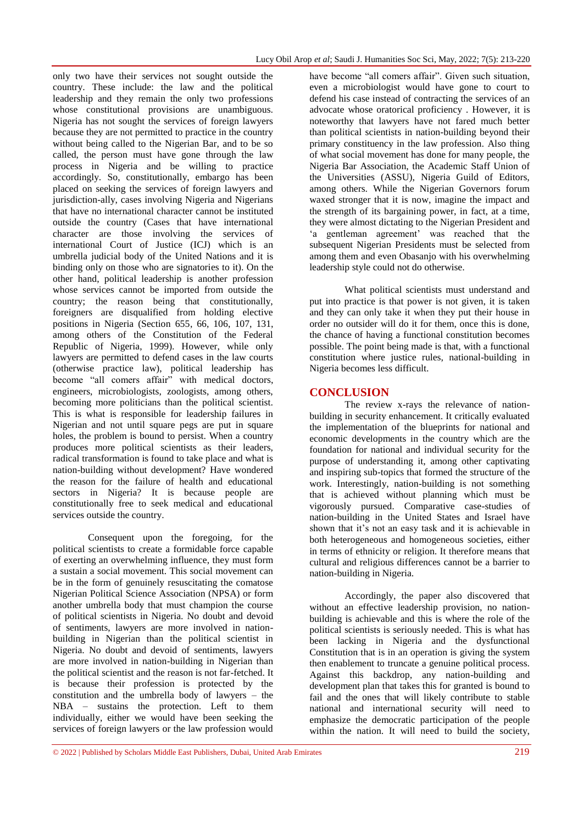only two have their services not sought outside the country. These include: the law and the political leadership and they remain the only two professions whose constitutional provisions are unambiguous. Nigeria has not sought the services of foreign lawyers because they are not permitted to practice in the country without being called to the Nigerian Bar, and to be so called, the person must have gone through the law process in Nigeria and be willing to practice accordingly. So, constitutionally, embargo has been placed on seeking the services of foreign lawyers and jurisdiction-ally, cases involving Nigeria and Nigerians that have no international character cannot be instituted outside the country (Cases that have international character are those involving the services of international Court of Justice (ICJ) which is an umbrella judicial body of the United Nations and it is binding only on those who are signatories to it). On the other hand, political leadership is another profession whose services cannot be imported from outside the country; the reason being that constitutionally, foreigners are disqualified from holding elective positions in Nigeria (Section 655, 66, 106, 107, 131, among others of the Constitution of the Federal Republic of Nigeria, 1999). However, while only lawyers are permitted to defend cases in the law courts (otherwise practice law), political leadership has become "all comers affair" with medical doctors, engineers, microbiologists, zoologists, among others, becoming more politicians than the political scientist. This is what is responsible for leadership failures in Nigerian and not until square pegs are put in square holes, the problem is bound to persist. When a country produces more political scientists as their leaders, radical transformation is found to take place and what is nation-building without development? Have wondered the reason for the failure of health and educational sectors in Nigeria? It is because people are constitutionally free to seek medical and educational services outside the country.

Consequent upon the foregoing, for the political scientists to create a formidable force capable of exerting an overwhelming influence, they must form a sustain a social movement. This social movement can be in the form of genuinely resuscitating the comatose Nigerian Political Science Association (NPSA) or form another umbrella body that must champion the course of political scientists in Nigeria. No doubt and devoid of sentiments, lawyers are more involved in nationbuilding in Nigerian than the political scientist in Nigeria. No doubt and devoid of sentiments, lawyers are more involved in nation-building in Nigerian than the political scientist and the reason is not far-fetched. It is because their profession is protected by the constitution and the umbrella body of lawyers – the NBA – sustains the protection. Left to them individually, either we would have been seeking the services of foreign lawyers or the law profession would

have become "all comers affair". Given such situation, even a microbiologist would have gone to court to defend his case instead of contracting the services of an advocate whose oratorical proficiency . However, it is noteworthy that lawyers have not fared much better than political scientists in nation-building beyond their primary constituency in the law profession. Also thing of what social movement has done for many people, the Nigeria Bar Association, the Academic Staff Union of the Universities (ASSU), Nigeria Guild of Editors, among others. While the Nigerian Governors forum waxed stronger that it is now, imagine the impact and the strength of its bargaining power, in fact, at a time, they were almost dictating to the Nigerian President and "a gentleman agreement" was reached that the subsequent Nigerian Presidents must be selected from among them and even Obasanjo with his overwhelming leadership style could not do otherwise.

What political scientists must understand and put into practice is that power is not given, it is taken and they can only take it when they put their house in order no outsider will do it for them, once this is done, the chance of having a functional constitution becomes possible. The point being made is that, with a functional constitution where justice rules, national-building in Nigeria becomes less difficult.

# **CONCLUSION**

The review x-rays the relevance of nationbuilding in security enhancement. It critically evaluated the implementation of the blueprints for national and economic developments in the country which are the foundation for national and individual security for the purpose of understanding it, among other captivating and inspiring sub-topics that formed the structure of the work. Interestingly, nation-building is not something that is achieved without planning which must be vigorously pursued. Comparative case-studies of nation-building in the United States and Israel have shown that it"s not an easy task and it is achievable in both heterogeneous and homogeneous societies, either in terms of ethnicity or religion. It therefore means that cultural and religious differences cannot be a barrier to nation-building in Nigeria.

Accordingly, the paper also discovered that without an effective leadership provision, no nationbuilding is achievable and this is where the role of the political scientists is seriously needed. This is what has been lacking in Nigeria and the dysfunctional Constitution that is in an operation is giving the system then enablement to truncate a genuine political process. Against this backdrop, any nation-building and development plan that takes this for granted is bound to fail and the ones that will likely contribute to stable national and international security will need to emphasize the democratic participation of the people within the nation. It will need to build the society,